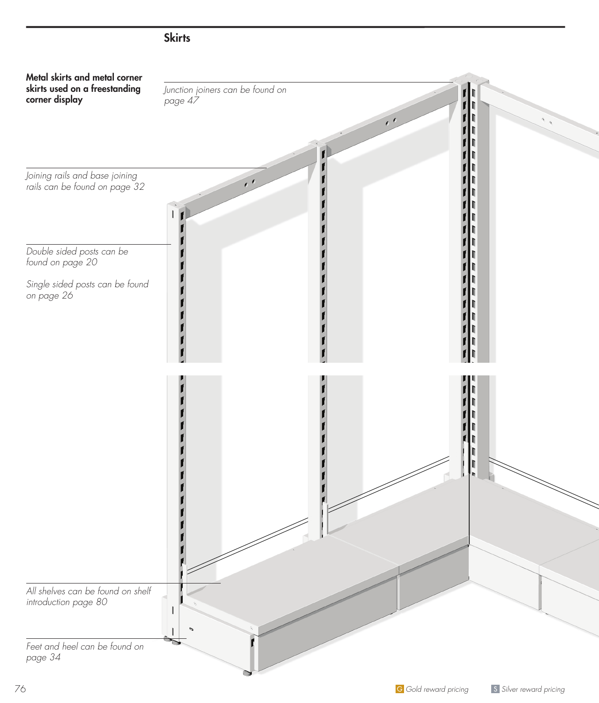

# **Skirts**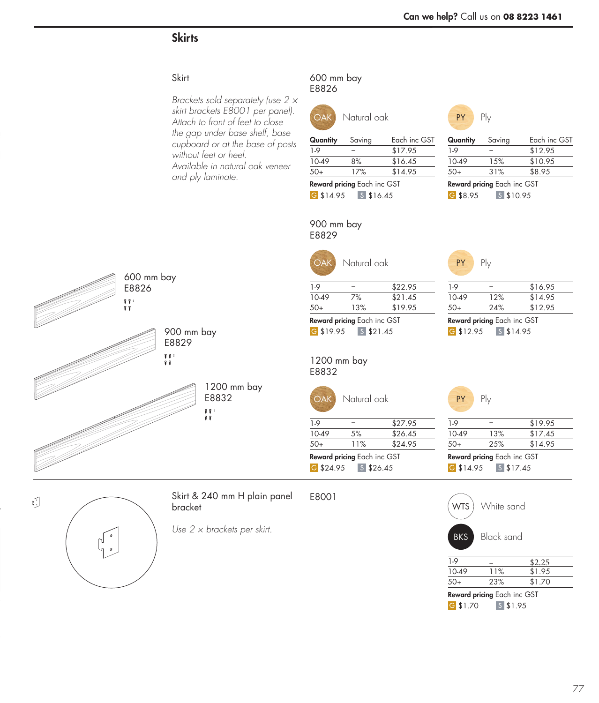# **Skirts**

#### **Skirt**

*Brackets sold separately (use 2 × skirt brackets E8001 per panel). Attach to front of feet to close the gap under base shelf, base cupboard or at the base of posts without feet or heel. Available in natural oak veneer and ply laminate.*

#### 600 mm bay E8826



G \$14.95 S \$16.45

50+ 17% \$14.95 Reward pricing Each inc GST



PY Ply

| Quantity | Saving         | Each inc GST | Quantity | Saving         | Each inc GST |
|----------|----------------|--------------|----------|----------------|--------------|
| 1-9      |                | \$17.95      | 1-9      |                | \$12.95      |
| 10-49    | 8%             | \$16.45      | 10-49    | 15%            | \$10.95      |
| $50+$    | 17%            | \$14.95      | $50+$    | 31%            | \$8.95       |
|          | $\blacksquare$ |              |          | $\blacksquare$ |              |

G \$8.95 S \$10.95 Reward pricing Each inc GST





Skirt & 240 mm H plain panel bracket

*Use 2 × brackets per skirt.*

#### 900 mm bay E8829

| <b>OAK</b>                  | Natural oak |         |  |  |
|-----------------------------|-------------|---------|--|--|
| $1-9$                       |             | \$22.95 |  |  |
| 10-49                       | 7%          | \$21.45 |  |  |
| $50+$                       | 13%         | \$19.95 |  |  |
| Reward pricing Each inc GST |             |         |  |  |

G \$19.95 S \$21.45

1200 mm bay E8832

| $\bigcap AK$ | Natural oak |  |
|--------------|-------------|--|
|--------------|-------------|--|

| 1.9   |     | \$27.95 |
|-------|-----|---------|
| 10-49 | 5%  | \$26.45 |
| 50+   | 11% | \$24.95 |
|       |     |         |

G \$24.95 \ S \$26.45 Reward pricing Each inc GST

#### E8001

# WTS ) White sand

PY Ply

BKS Black sand

G \$14.95 S \$17.45

G \$12.95 S \$14.95

 $\frac{1-9}{1-9}$  – \$16.95 10-49 12% \$14.95 50+ 24% \$12.95 Reward pricing Each inc GST

1-9 − \$19.95 10-49 13% \$17.45 50+ 25% \$14.95 Reward pricing Each inc GST

| 1.9                                |     | \$2.25 |  |  |
|------------------------------------|-----|--------|--|--|
| 10-49                              | 11% | \$1.95 |  |  |
| $50+$                              | 23% | \$1.70 |  |  |
| <b>Reward pricing Each inc GST</b> |     |        |  |  |
| G \$1.70<br>$S$ \$1.95             |     |        |  |  |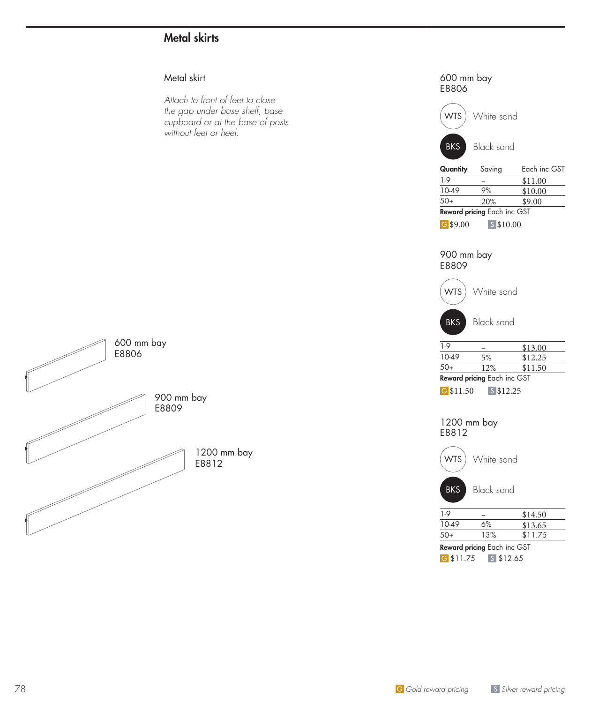### Metal skirts

#### Metal skirt

*Attach to front of feet to close the gap under base shelf, base cupboard or at the base of posts without feet or heel.*